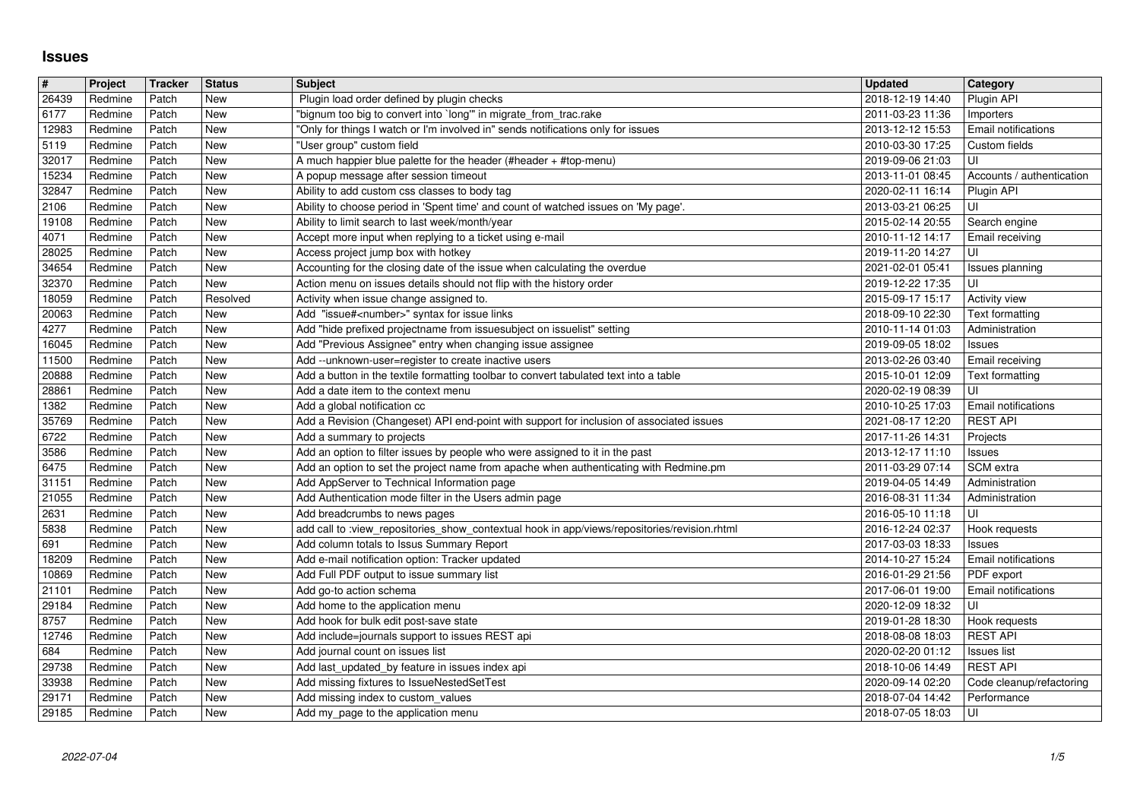## **Issues**

| #              | Project            | Tracker        | <b>Status</b>            | <b>Subject</b>                                                                                                                | <b>Updated</b>                       | Category                                  |
|----------------|--------------------|----------------|--------------------------|-------------------------------------------------------------------------------------------------------------------------------|--------------------------------------|-------------------------------------------|
| 26439<br>6177  | Redmine<br>Redmine | Patch<br>Patch | New<br><b>New</b>        | Plugin load order defined by plugin checks<br>"bignum too big to convert into `long'" in migrate_from_trac.rake               | 2018-12-19 14:40<br>2011-03-23 11:36 | Plugin API<br>Importers                   |
| 12983          | Redmine            | Patch          | <b>New</b>               | "Only for things I watch or I'm involved in" sends notifications only for issues                                              | 2013-12-12 15:53                     | Email notifications                       |
| 5119           | Redmine            | Patch          | <b>New</b>               | "User group" custom field                                                                                                     | 2010-03-30 17:25                     | Custom fields                             |
| 32017<br>15234 | Redmine<br>Redmine | Patch<br>Patch | <b>New</b><br><b>New</b> | A much happier blue palette for the header (#header + #top-menu)<br>A popup message after session timeout                     | 2019-09-06 21:03<br>2013-11-01 08:45 | UI<br>Accounts / authentication           |
| 32847          | Redmine            | Patch          | New                      | Ability to add custom css classes to body tag                                                                                 | 2020-02-11 16:14                     | Plugin API                                |
| 2106           | Redmine            | Patch          | New                      | Ability to choose period in 'Spent time' and count of watched issues on 'My page'.                                            | 2013-03-21 06:25                     | UI                                        |
| 19108          | Redmine            | Patch          | New<br>New               | Ability to limit search to last week/month/year                                                                               | 2015-02-14 20:55                     | Search engine                             |
| 4071<br>28025  | Redmine<br>Redmine | Patch<br>Patch | New                      | Accept more input when replying to a ticket using e-mail<br>Access project jump box with hotkey                               | 2010-11-12 14:17<br>2019-11-20 14:27 | Email receiving<br>l UI                   |
| 34654          | Redmine            | Patch          | <b>New</b>               | Accounting for the closing date of the issue when calculating the overdue                                                     | 2021-02-01 05:41                     | Issues planning                           |
| 32370          | Redmine            | Patch          | <b>New</b>               | Action menu on issues details should not flip with the history order                                                          | 2019-12-22 17:35                     | ΙUΙ                                       |
| 18059<br>20063 | Redmine<br>Redmine | Patch<br>Patch | Resolved<br><b>New</b>   | Activity when issue change assigned to.<br>Add "issue# <number>" syntax for issue links</number>                              | 2015-09-17 15:17<br>2018-09-10 22:30 | Activity view<br>Text formatting          |
| 4277           | Redmine            | Patch          | New                      | Add "hide prefixed projectname from issuesubject on issuelist" setting                                                        | 2010-11-14 01:03                     | Administration                            |
| 16045          | Redmine            | Patch          | New                      | Add "Previous Assignee" entry when changing issue assignee                                                                    | 2019-09-05 18:02                     | Issues                                    |
| 11500          | Redmine            | Patch          | New                      | Add --unknown-user=register to create inactive users                                                                          | 2013-02-26 03:40                     | Email receiving                           |
| 20888<br>28861 | Redmine<br>Redmine | Patch<br>Patch | New<br><b>New</b>        | Add a button in the textile formatting toolbar to convert tabulated text into a table<br>Add a date item to the context menu  | 2015-10-01 12:09<br>2020-02-19 08:39 | Text formatting<br>UI                     |
| 1382           | Redmine            | Patch          | <b>New</b>               | Add a global notification cc                                                                                                  | 2010-10-25 17:03                     | <b>Email notifications</b>                |
| 35769          | Redmine            | Patch          | <b>New</b>               | Add a Revision (Changeset) API end-point with support for inclusion of associated issues                                      | 2021-08-17 12:20                     | <b>REST API</b>                           |
| 6722<br>3586   | Redmine<br>Redmine | Patch<br>Patch | <b>New</b><br><b>New</b> | Add a summary to projects<br>Add an option to filter issues by people who were assigned to it in the past                     | 2017-11-26 14:31<br>2013-12-17 11:10 | Projects<br>Issues                        |
| 6475           | Redmine            | Patch          | <b>New</b>               | Add an option to set the project name from apache when authenticating with Redmine.pm                                         | 2011-03-29 07:14                     | SCM extra                                 |
| 31151          | Redmine            | Patch          | New                      | Add AppServer to Technical Information page                                                                                   | 2019-04-05 14:49                     | Administration                            |
| 21055          | Redmine            | Patch          | New                      | Add Authentication mode filter in the Users admin page                                                                        | 2016-08-31 11:34                     | Administration                            |
| 2631<br>5838   | Redmine<br>Redmine | Patch<br>Patch | New<br><b>New</b>        | Add breadcrumbs to news pages<br>add call to :view_repositories_show_contextual hook in app/views/repositories/revision.rhtml | 2016-05-10 11:18<br>2016-12-24 02:37 | ΙUΙ<br>Hook requests                      |
| 691            | Redmine            | Patch          | <b>New</b>               | Add column totals to Issus Summary Report                                                                                     | 2017-03-03 18:33                     | Issues                                    |
| 18209          | Redmine            | Patch          | <b>New</b>               | Add e-mail notification option: Tracker updated                                                                               | 2014-10-27 15:24                     | Email notifications                       |
| 10869          | Redmine            | Patch          | New<br><b>New</b>        | Add Full PDF output to issue summary list                                                                                     | 2016-01-29 21:56                     | PDF export                                |
| 21101<br>29184 | Redmine<br>Redmine | Patch<br>Patch | New                      | Add go-to action schema<br>Add home to the application menu                                                                   | 2017-06-01 19:00<br>2020-12-09 18:32 | <b>Email notifications</b><br>ΙUΙ         |
| 8757           | Redmine            | Patch          | New                      | Add hook for bulk edit post-save state                                                                                        | 2019-01-28 18:30                     | Hook requests                             |
| 12746          | Redmine            | Patch          | New                      | Add include=journals support to issues REST api                                                                               | 2018-08-08 18:03                     | <b>REST API</b>                           |
| 684<br>29738   | Redmine<br>Redmine | Patch<br>Patch | New<br>New               | Add journal count on issues list<br>Add last_updated_by feature in issues index api                                           | 2020-02-20 01:12<br>2018-10-06 14:49 | Issues list<br><b>REST API</b>            |
| 33938          | Redmine            | Patch          | New                      | Add missing fixtures to IssueNestedSetTest                                                                                    |                                      | 2020-09-14 02:20 Code cleanup/refactoring |
| 29171<br>29185 | Redmine<br>Redmine | Patch<br>Patch | <b>New</b><br>New        | Add missing index to custom_values<br>Add my_page to the application menu                                                     | 2018-07-04 14:42<br>2018-07-05 18:03 | Performance<br>luı                        |
|                |                    |                |                          |                                                                                                                               |                                      |                                           |
|                |                    |                |                          |                                                                                                                               |                                      |                                           |
|                |                    |                |                          |                                                                                                                               |                                      |                                           |
|                |                    |                |                          |                                                                                                                               |                                      |                                           |
|                |                    |                |                          |                                                                                                                               |                                      |                                           |
|                |                    |                |                          |                                                                                                                               |                                      |                                           |
|                |                    |                |                          |                                                                                                                               |                                      |                                           |
|                |                    |                |                          |                                                                                                                               |                                      |                                           |
|                |                    |                |                          |                                                                                                                               |                                      |                                           |
|                |                    |                |                          |                                                                                                                               |                                      |                                           |
|                |                    |                |                          |                                                                                                                               |                                      |                                           |
|                |                    |                |                          |                                                                                                                               |                                      |                                           |
|                |                    |                |                          |                                                                                                                               |                                      |                                           |
|                |                    |                |                          |                                                                                                                               |                                      |                                           |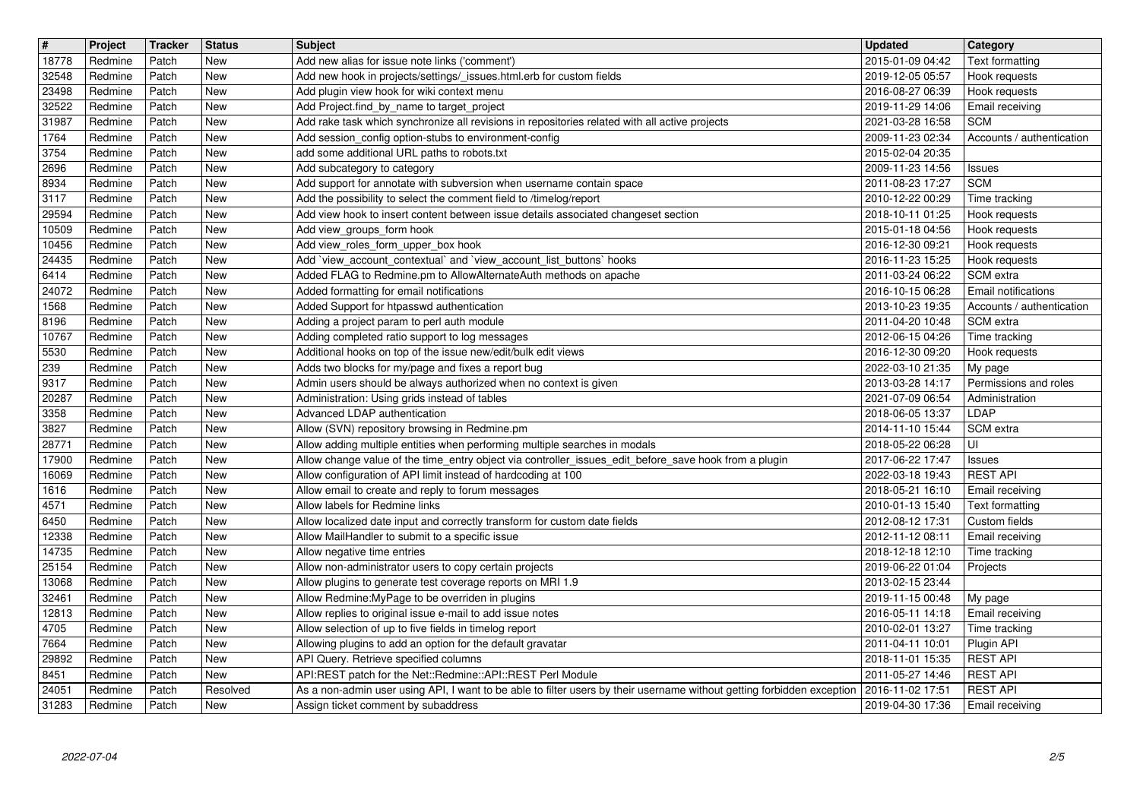| $\overline{\mathbf{H}}$ | Project            | Tracker        | <b>Status</b>     | <b>Subject</b>                                                                                                                                                         | <b>Updated</b>                       | <b>Category</b>                         |
|-------------------------|--------------------|----------------|-------------------|------------------------------------------------------------------------------------------------------------------------------------------------------------------------|--------------------------------------|-----------------------------------------|
| 18778                   | Redmine            | Patch          | New               | Add new alias for issue note links ('comment')                                                                                                                         | 2015-01-09 04:42                     | Text formatting                         |
| 32548<br>23498          | Redmine<br>Redmine | Patch<br>Patch | New<br>New        | Add new hook in projects/settings/_issues.html.erb for custom fields<br>Add plugin view hook for wiki context menu                                                     | 2019-12-05 05:57<br>2016-08-27 06:39 | Hook requests<br>Hook requests          |
| 32522                   | Redmine            | Patch          | New               | Add Project.find_by_name to target_project                                                                                                                             | 2019-11-29 14:06                     | Email receiving                         |
| 31987                   | Redmine            | Patch          | New               | Add rake task which synchronize all revisions in repositories related with all active projects                                                                         | 2021-03-28 16:58                     | <b>SCM</b>                              |
| 1764                    | Redmine            | Patch          | New               | Add session_config option-stubs to environment-config                                                                                                                  | 2009-11-23 02:34                     | Accounts / authentication               |
| 3754<br>2696            | Redmine<br>Redmine | Patch<br>Patch | New<br>New        | add some additional URL paths to robots.txt                                                                                                                            | 2015-02-04 20:35<br>2009-11-23 14:56 |                                         |
| 8934                    | Redmine            | Patch          | New               | Add subcategory to category<br>Add support for annotate with subversion when username contain space                                                                    | 2011-08-23 17:27                     | <b>Issues</b><br><b>SCM</b>             |
| 3117                    | Redmine            | Patch          | New               | Add the possibility to select the comment field to /timelog/report                                                                                                     | 2010-12-22 00:29                     | Time tracking                           |
| 29594                   | Redmine            | Patch          | New               | Add view hook to insert content between issue details associated changeset section                                                                                     | 2018-10-11 01:25                     | Hook requests                           |
| 10509                   | Redmine            | Patch<br>Patch | New<br><b>New</b> | Add view_groups_form hook                                                                                                                                              | 2015-01-18 04:56                     | Hook requests                           |
| 10456<br>24435          | Redmine<br>Redmine | Patch          | New               | Add view_roles_form_upper_box hook<br>Add 'view_account_contextual' and 'view_account_list_buttons' hooks                                                              | 2016-12-30 09:21<br>2016-11-23 15:25 | Hook requests<br>Hook requests          |
| 6414                    | Redmine            | Patch          | New               | Added FLAG to Redmine.pm to AllowAlternateAuth methods on apache                                                                                                       | 2011-03-24 06:22                     | SCM extra                               |
| 24072                   | Redmine            | Patch          | New               | Added formatting for email notifications                                                                                                                               | 2016-10-15 06:28                     | Email notifications                     |
| 1568<br>8196            | Redmine<br>Redmine | Patch<br>Patch | New<br>New        | Added Support for htpasswd authentication<br>Adding a project param to perl auth module                                                                                | 2013-10-23 19:35<br>2011-04-20 10:48 | Accounts / authentication<br>SCM extra  |
| 10767                   | Redmine            | Patch          | New               | Adding completed ratio support to log messages                                                                                                                         | 2012-06-15 04:26                     | Time tracking                           |
| 5530                    | Redmine            | Patch          | New               | Additional hooks on top of the issue new/edit/bulk edit views                                                                                                          | 2016-12-30 09:20                     | Hook requests                           |
| 239                     | Redmine            | Patch          | New               | Adds two blocks for my/page and fixes a report bug                                                                                                                     | 2022-03-10 21:35                     | My page                                 |
| 9317<br>20287           | Redmine<br>Redmine | Patch<br>Patch | New<br>New        | Admin users should be always authorized when no context is given<br>Administration: Using grids instead of tables                                                      | 2013-03-28 14:17<br>2021-07-09 06:54 | Permissions and roles<br>Administration |
| 3358                    | Redmine            | Patch          | New               | Advanced LDAP authentication                                                                                                                                           | 2018-06-05 13:37                     | LDAP                                    |
| 3827                    | Redmine            | Patch          | New               | Allow (SVN) repository browsing in Redmine.pm                                                                                                                          | 2014-11-10 15:44                     | SCM extra                               |
| 28771                   | Redmine            | Patch          | New               | Allow adding multiple entities when performing multiple searches in modals                                                                                             | 2018-05-22 06:28                     | UI                                      |
| 17900<br>16069          | Redmine<br>Redmine | Patch<br>Patch | New<br>New        | Allow change value of the time_entry object via controller_issues_edit_before_save hook from a plugin<br>Allow configuration of API limit instead of hardcoding at 100 | 2017-06-22 17:47<br>2022-03-18 19:43 | Issues<br><b>REST API</b>               |
| 1616                    | Redmine            | Patch          | New               | Allow email to create and reply to forum messages                                                                                                                      | 2018-05-21 16:10                     | Email receiving                         |
| 4571                    | Redmine            | Patch          | <b>New</b>        | Allow labels for Redmine links                                                                                                                                         | 2010-01-13 15:40                     | Text formatting                         |
| 6450                    | Redmine            | Patch          | <b>New</b>        | Allow localized date input and correctly transform for custom date fields                                                                                              | 2012-08-12 17:31                     | Custom fields                           |
| 12338<br>14735          | Redmine<br>Redmine | Patch<br>Patch | New<br>New        | Allow MailHandler to submit to a specific issue                                                                                                                        | 2012-11-12 08:11<br>2018-12-18 12:10 | Email receiving                         |
| 25154                   | Redmine            | Patch          | New               | Allow negative time entries<br>Allow non-administrator users to copy certain projects                                                                                  | 2019-06-22 01:04                     | Time tracking<br>Projects               |
| 13068                   | Redmine            | Patch          | New               | Allow plugins to generate test coverage reports on MRI 1.9                                                                                                             | 2013-02-15 23:44                     |                                         |
| 32461                   | Redmine            | Patch          | New               | Allow Redmine: My Page to be overriden in plugins                                                                                                                      | 2019-11-15 00:48                     | My page                                 |
| 12813                   | Redmine            | Patch          | New<br><b>New</b> | Allow replies to original issue e-mail to add issue notes                                                                                                              | 2016-05-11 14:18                     | Email receiving                         |
| 4705<br>7664            | Redmine<br>Redmine | Patch<br>Patch | New               | Allow selection of up to five fields in timelog report<br>Allowing plugins to add an option for the default gravatar                                                   | 2010-02-01 13:27<br>2011-04-11 10:01 | Time tracking<br>Plugin API             |
| 29892                   | Redmine            | Patch          | New               | API Query. Retrieve specified columns                                                                                                                                  | 2018-11-01 15:35                     | <b>REST API</b>                         |
| 8451                    | Redmine            | Patch          | New               | API:REST patch for the Net::Redmine::API::REST Perl Module                                                                                                             | 2011-05-27 14:46                     | <b>REST API</b>                         |
| 24051<br>31283          | Redmine<br>Redmine | Patch<br>Patch | Resolved<br>New   | As a non-admin user using API, I want to be able to filter users by their username without getting forbidden exception<br>Assign ticket comment by subaddress          | 2016-11-02 17:51<br>2019-04-30 17:36 | <b>REST API</b><br>Email receiving      |
|                         |                    |                |                   |                                                                                                                                                                        |                                      |                                         |
|                         |                    |                |                   |                                                                                                                                                                        |                                      |                                         |
|                         |                    |                |                   |                                                                                                                                                                        |                                      |                                         |
|                         |                    |                |                   |                                                                                                                                                                        |                                      |                                         |
|                         |                    |                |                   |                                                                                                                                                                        |                                      |                                         |
|                         |                    |                |                   |                                                                                                                                                                        |                                      |                                         |
|                         |                    |                |                   |                                                                                                                                                                        |                                      |                                         |
|                         |                    |                |                   |                                                                                                                                                                        |                                      |                                         |
|                         |                    |                |                   |                                                                                                                                                                        |                                      |                                         |
|                         |                    |                |                   |                                                                                                                                                                        |                                      |                                         |
|                         |                    |                |                   |                                                                                                                                                                        |                                      |                                         |
|                         |                    |                |                   |                                                                                                                                                                        |                                      |                                         |
|                         |                    |                |                   |                                                                                                                                                                        |                                      |                                         |
|                         |                    |                |                   |                                                                                                                                                                        |                                      |                                         |
|                         |                    |                |                   |                                                                                                                                                                        |                                      |                                         |
|                         |                    |                |                   |                                                                                                                                                                        |                                      |                                         |
|                         |                    |                |                   |                                                                                                                                                                        |                                      |                                         |
|                         |                    |                |                   |                                                                                                                                                                        |                                      |                                         |
|                         |                    |                |                   |                                                                                                                                                                        |                                      |                                         |
|                         |                    |                |                   |                                                                                                                                                                        |                                      |                                         |
|                         |                    |                |                   |                                                                                                                                                                        |                                      |                                         |
|                         |                    |                |                   |                                                                                                                                                                        |                                      |                                         |
|                         |                    |                |                   |                                                                                                                                                                        |                                      |                                         |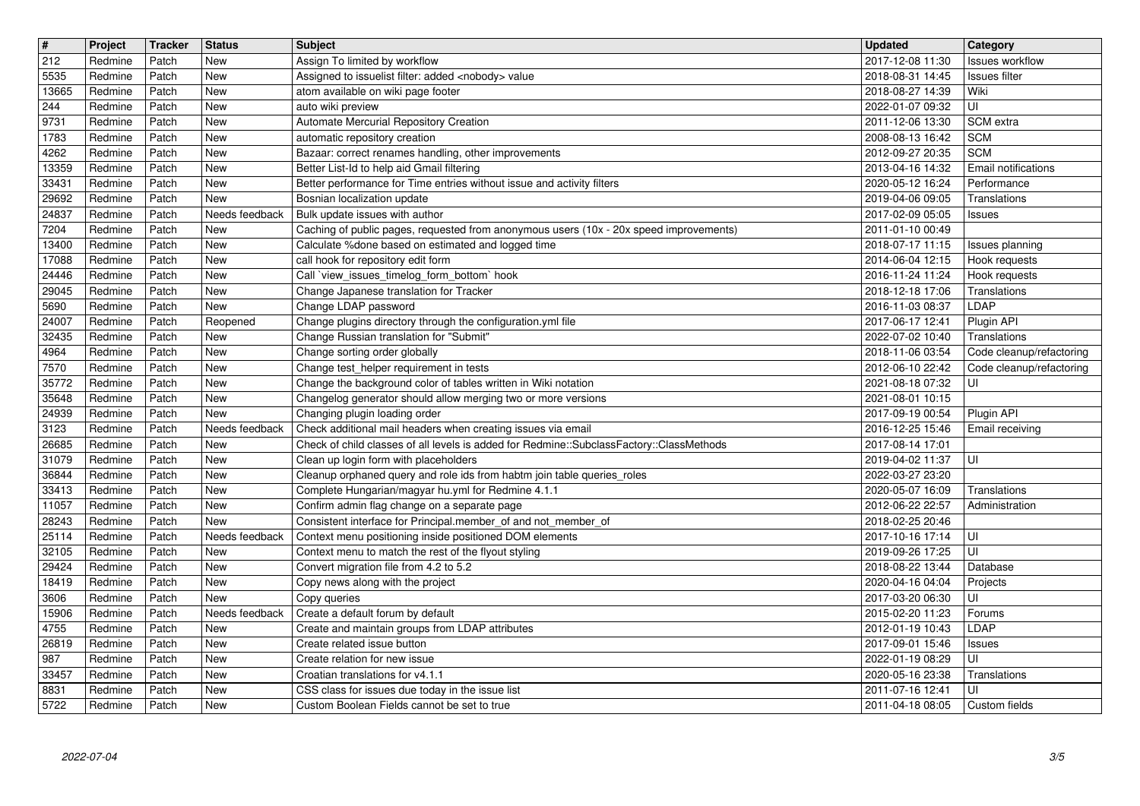| $\overline{\mathbf{t}}$ | Project            | Tracker        | <b>Status</b>            | <b>Subject</b>                                                                                                                                           | <b>Updated</b>                       | <b>Category</b>                          |
|-------------------------|--------------------|----------------|--------------------------|----------------------------------------------------------------------------------------------------------------------------------------------------------|--------------------------------------|------------------------------------------|
| 212<br>5535             | Redmine<br>Redmine | Patch<br>Patch | New<br>New               | Assign To limited by workflow<br>Assigned to issuelist filter: added <nobody> value</nobody>                                                             | 2017-12-08 11:30<br>2018-08-31 14:45 | Issues workflow<br><b>Issues filter</b>  |
| 13665                   | Redmine            | Patch          | New                      | atom available on wiki page footer                                                                                                                       | 2018-08-27 14:39                     | Wiki                                     |
| 244<br>9731             | Redmine<br>Redmine | Patch<br>Patch | New<br>New               | auto wiki preview<br>Automate Mercurial Repository Creation                                                                                              | 2022-01-07 09:32<br>2011-12-06 13:30 | ΙUΙ<br>SCM extra                         |
| 1783                    | Redmine            | Patch          | New                      | automatic repository creation                                                                                                                            | 2008-08-13 16:42                     | <b>SCM</b>                               |
| 4262<br>13359           | Redmine<br>Redmine | Patch<br>Patch | New<br>New               | Bazaar: correct renames handling, other improvements<br>Better List-Id to help aid Gmail filtering                                                       | 2012-09-27 20:35<br>2013-04-16 14:32 | <b>SCM</b><br><b>Email notifications</b> |
| 33431                   | Redmine            | Patch          | <b>New</b>               | Better performance for Time entries without issue and activity filters                                                                                   | 2020-05-12 16:24                     | Performance                              |
| 29692<br>24837          | Redmine<br>Redmine | Patch<br>Patch | New<br>Needs feedback    | Bosnian localization update<br>Bulk update issues with author                                                                                            | 2019-04-06 09:05<br>2017-02-09 05:05 | Translations<br>Issues                   |
| 7204                    | Redmine            | Patch          | New                      | Caching of public pages, requested from anonymous users (10x - 20x speed improvements)                                                                   | 2011-01-10 00:49                     |                                          |
| 13400<br>17088          | Redmine<br>Redmine | Patch<br>Patch | New<br>New               | Calculate %done based on estimated and logged time<br>call hook for repository edit form                                                                 | 2018-07-17 11:15<br>2014-06-04 12:15 | Issues planning<br>Hook requests         |
| 24446                   | Redmine            | Patch          | New                      | Call `view_issues_timelog_form_bottom` hook                                                                                                              | 2016-11-24 11:24                     | Hook requests                            |
| 29045<br>5690           | Redmine<br>Redmine | Patch<br>Patch | New<br>New               | Change Japanese translation for Tracker<br>Change LDAP password                                                                                          | 2018-12-18 17:06<br>2016-11-03 08:37 | Translations<br>LDAP                     |
| 24007                   | Redmine            | Patch          | Reopened                 | Change plugins directory through the configuration.yml file                                                                                              | 2017-06-17 12:41                     | Plugin API                               |
| 32435<br>4964           | Redmine<br>Redmine | Patch<br>Patch | New<br>New               | Change Russian translation for "Submit"<br>Change sorting order globally                                                                                 | 2022-07-02 10:40<br>2018-11-06 03:54 | Translations<br>Code cleanup/refactoring |
| 7570                    | Redmine            | Patch          | New                      | Change test_helper requirement in tests                                                                                                                  | 2012-06-10 22:42                     | Code cleanup/refactoring                 |
| 35772<br>35648          | Redmine<br>Redmine | Patch<br>Patch | New<br>New               | Change the background color of tables written in Wiki notation<br>Changelog generator should allow merging two or more versions                          | 2021-08-18 07:32<br>2021-08-01 10:15 | UI                                       |
| 24939                   | Redmine            | Patch          | New                      | Changing plugin loading order                                                                                                                            | 2017-09-19 00:54                     | Plugin API                               |
| 3123                    | Redmine            | Patch          | Needs feedback<br>New    | Check additional mail headers when creating issues via email<br>Check of child classes of all levels is added for Redmine::SubclassFactory::ClassMethods | 2016-12-25 15:46                     | Email receiving                          |
| 26685<br>31079          | Redmine<br>Redmine | Patch<br>Patch | New                      | Clean up login form with placeholders                                                                                                                    | 2017-08-14 17:01<br>2019-04-02 11:37 | l UI                                     |
| 36844                   | Redmine            | Patch          | <b>New</b><br><b>New</b> | Cleanup orphaned query and role ids from habtm join table queries_roles                                                                                  | 2022-03-27 23:20                     |                                          |
| 33413<br>11057          | Redmine<br>Redmine | Patch<br>Patch | New                      | Complete Hungarian/magyar hu.yml for Redmine 4.1.1<br>Confirm admin flag change on a separate page                                                       | 2020-05-07 16:09<br>2012-06-22 22:57 | Translations<br>Administration           |
| 28243                   | Redmine            | Patch          | New                      | Consistent interface for Principal.member_of and not_member_of                                                                                           | 2018-02-25 20:46                     |                                          |
| 25114<br>32105          | Redmine<br>Redmine | Patch<br>Patch | Needs feedback<br>New    | Context menu positioning inside positioned DOM elements<br>Context menu to match the rest of the flyout styling                                          | 2017-10-16 17:14<br>2019-09-26 17:25 | UI<br>ΙUΙ                                |
| 29424                   | Redmine            | Patch          | New                      | Convert migration file from 4.2 to 5.2                                                                                                                   | 2018-08-22 13:44                     | Database                                 |
| 18419<br>3606           | Redmine<br>Redmine | Patch<br>Patch | New<br>New               | Copy news along with the project<br>Copy queries                                                                                                         | 2020-04-16 04:04<br>2017-03-20 06:30 | Projects<br>UI                           |
| 15906                   | Redmine            | Patch          | Needs feedback           | Create a default forum by default                                                                                                                        | 2015-02-20 11:23                     | Forums                                   |
| 4755<br>$\boxed{26819}$ | Redmine<br>Redmine | Patch<br>Patch | New<br>New               | Create and maintain groups from LDAP attributes<br>Create related issue button                                                                           | 2012-01-19 10:43<br>2017-09-01 15:46 | LDAP<br>Issues                           |
| 987                     | Redmine            | Patch          | New                      | Create relation for new issue                                                                                                                            | 2022-01-19 08:29                     | UI                                       |
| 33457<br>8831           | Redmine<br>Redmine | Patch<br>Patch | New<br>New               | Croatian translations for v4.1.1<br>CSS class for issues due today in the issue list                                                                     | 2020-05-16 23:38<br>2011-07-16 12:41 | Translations<br>l UI                     |
| 5722                    | Redmine            | Patch          | New                      | Custom Boolean Fields cannot be set to true                                                                                                              | 2011-04-18 08:05                     | Custom fields                            |
|                         |                    |                |                          |                                                                                                                                                          |                                      |                                          |
|                         | 2022-07-04         |                |                          |                                                                                                                                                          |                                      | 3/5                                      |
|                         |                    |                |                          |                                                                                                                                                          |                                      |                                          |
|                         |                    |                |                          |                                                                                                                                                          |                                      |                                          |
|                         |                    |                |                          |                                                                                                                                                          |                                      |                                          |
|                         |                    |                |                          |                                                                                                                                                          |                                      |                                          |
|                         |                    |                |                          |                                                                                                                                                          |                                      |                                          |
|                         |                    |                |                          |                                                                                                                                                          |                                      |                                          |
|                         |                    |                |                          |                                                                                                                                                          |                                      |                                          |
|                         |                    |                |                          |                                                                                                                                                          |                                      |                                          |
|                         |                    |                |                          |                                                                                                                                                          |                                      |                                          |
|                         |                    |                |                          |                                                                                                                                                          |                                      |                                          |
|                         |                    |                |                          |                                                                                                                                                          |                                      |                                          |
|                         |                    |                |                          |                                                                                                                                                          |                                      |                                          |
|                         |                    |                |                          |                                                                                                                                                          |                                      |                                          |
|                         |                    |                |                          |                                                                                                                                                          |                                      |                                          |
|                         |                    |                |                          |                                                                                                                                                          |                                      |                                          |
|                         |                    |                |                          |                                                                                                                                                          |                                      |                                          |
|                         |                    |                |                          |                                                                                                                                                          |                                      |                                          |
|                         |                    |                |                          |                                                                                                                                                          |                                      |                                          |
|                         |                    |                |                          |                                                                                                                                                          |                                      |                                          |
|                         |                    |                |                          |                                                                                                                                                          |                                      |                                          |
|                         |                    |                |                          |                                                                                                                                                          |                                      |                                          |
|                         |                    |                |                          |                                                                                                                                                          |                                      |                                          |
|                         |                    |                |                          |                                                                                                                                                          |                                      |                                          |
|                         |                    |                |                          |                                                                                                                                                          |                                      |                                          |
|                         |                    |                |                          |                                                                                                                                                          |                                      |                                          |
|                         |                    |                |                          |                                                                                                                                                          |                                      |                                          |
|                         |                    |                |                          |                                                                                                                                                          |                                      |                                          |
|                         |                    |                |                          |                                                                                                                                                          |                                      |                                          |
|                         |                    |                |                          |                                                                                                                                                          |                                      |                                          |
|                         |                    |                |                          |                                                                                                                                                          |                                      |                                          |
|                         |                    |                |                          |                                                                                                                                                          |                                      |                                          |
|                         |                    |                |                          |                                                                                                                                                          |                                      |                                          |
|                         |                    |                |                          |                                                                                                                                                          |                                      |                                          |
|                         |                    |                |                          |                                                                                                                                                          |                                      |                                          |
|                         |                    |                |                          |                                                                                                                                                          |                                      |                                          |
|                         |                    |                |                          |                                                                                                                                                          |                                      |                                          |
|                         |                    |                |                          |                                                                                                                                                          |                                      |                                          |
|                         |                    |                |                          |                                                                                                                                                          |                                      |                                          |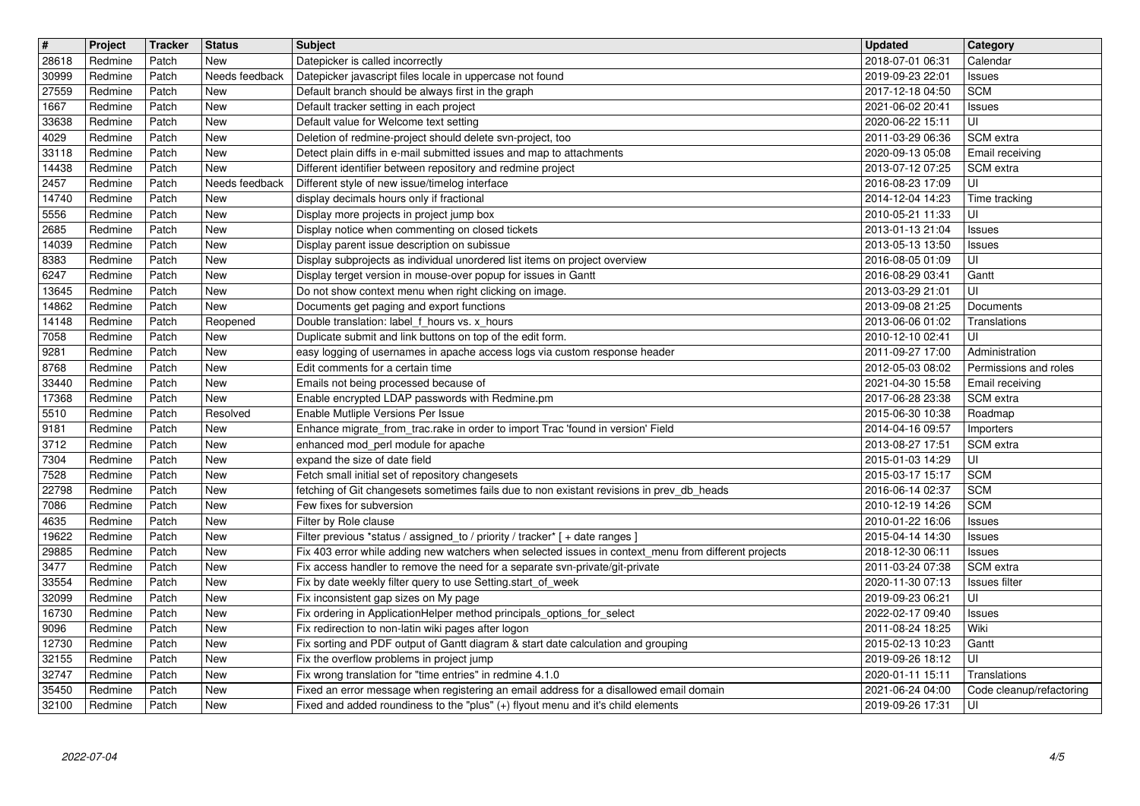| 28618<br>30999 | Project            | Tracker        | <b>Status</b>         | <b>Subject</b>                                                                                                                                                                       | <b>Updated</b>                       | Category                         |
|----------------|--------------------|----------------|-----------------------|--------------------------------------------------------------------------------------------------------------------------------------------------------------------------------------|--------------------------------------|----------------------------------|
|                | Redmine            | Patch          | New                   | Datepicker is called incorrectly                                                                                                                                                     | 2018-07-01 06:31                     | Calendar                         |
|                | Redmine            | Patch          | Needs feedback        | Datepicker javascript files locale in uppercase not found                                                                                                                            | 2019-09-23 22:01                     | Issues                           |
| 27559<br>1667  | Redmine<br>Redmine | Patch<br>Patch | New<br>New            | Default branch should be always first in the graph<br>Default tracker setting in each project                                                                                        | 2017-12-18 04:50<br>2021-06-02 20:41 | <b>SCM</b><br>Issues             |
| 33638          | Redmine            | Patch          | New                   | Default value for Welcome text setting                                                                                                                                               | 2020-06-22 15:11                     | luı                              |
| 4029           | Redmine            | Patch          | New                   | Deletion of redmine-project should delete svn-project, too                                                                                                                           | 2011-03-29 06:36                     | SCM extra                        |
| 33118          | Redmine            | Patch          | New                   | Detect plain diffs in e-mail submitted issues and map to attachments                                                                                                                 | 2020-09-13 05:08                     | Email receiving                  |
| 14438<br>2457  | Redmine<br>Redmine | Patch<br>Patch | New<br>Needs feedback | Different identifier between repository and redmine project<br>Different style of new issue/timelog interface                                                                        | 2013-07-12 07:25<br>2016-08-23 17:09 | SCM extra<br>luı                 |
| 14740          | Redmine            | Patch          | New                   | display decimals hours only if fractional                                                                                                                                            | 2014-12-04 14:23                     | Time tracking                    |
| 5556           | Redmine            | Patch          | New                   | Display more projects in project jump box                                                                                                                                            | 2010-05-21 11:33                     | UI                               |
| 2685           | Redmine            | Patch          | New                   | Display notice when commenting on closed tickets                                                                                                                                     | 2013-01-13 21:04                     | Issues                           |
| 14039          | Redmine            | Patch          | New                   | Display parent issue description on subissue                                                                                                                                         | 2013-05-13 13:50                     | Issues                           |
| 8383<br>6247   | Redmine<br>Redmine | Patch<br>Patch | New<br>New            | Display subprojects as individual unordered list items on project overview<br>Display terget version in mouse-over popup for issues in Gantt                                         | 2016-08-05 01:09<br>2016-08-29 03:41 | UI<br>Gantt                      |
| 13645          | Redmine            | Patch          | New                   | Do not show context menu when right clicking on image.                                                                                                                               | 2013-03-29 21:01                     | UI                               |
| 14862          | Redmine            | Patch          | New                   | Documents get paging and export functions                                                                                                                                            | 2013-09-08 21:25                     | Documents                        |
| 14148<br>7058  | Redmine<br>Redmine | Patch<br>Patch | Reopened<br>New       | Double translation: label_f_hours vs. x_hours<br>Duplicate submit and link buttons on top of the edit form.                                                                          | 2013-06-06 01:02<br>2010-12-10 02:41 | Translations<br>l UI             |
| 9281           | Redmine            | Patch          | New                   | easy logging of usernames in apache access logs via custom response header                                                                                                           | 2011-09-27 17:00                     | Administration                   |
| 8768           | Redmine            | Patch          | New                   | Edit comments for a certain time                                                                                                                                                     | 2012-05-03 08:02                     | Permissions and roles            |
| 33440          | Redmine            | Patch          | New                   | Emails not being processed because of                                                                                                                                                | 2021-04-30 15:58                     | Email receiving                  |
| 17368<br>5510  | Redmine<br>Redmine | Patch<br>Patch | New<br>Resolved       | Enable encrypted LDAP passwords with Redmine.pm<br>Enable Mutliple Versions Per Issue                                                                                                | 2017-06-28 23:38<br>2015-06-30 10:38 | SCM extra<br>Roadmap             |
| 9181           | Redmine            | Patch          | New                   | Enhance migrate_from_trac.rake in order to import Trac 'found in version' Field                                                                                                      | 2014-04-16 09:57                     | Importers                        |
| 3712           | Redmine            | Patch          | New                   | enhanced mod_perl module for apache                                                                                                                                                  | 2013-08-27 17:51                     | SCM extra                        |
| 7304           | Redmine            | Patch          | New                   | expand the size of date field                                                                                                                                                        | 2015-01-03 14:29                     | l UI                             |
| 7528<br>22798  | Redmine<br>Redmine | Patch<br>Patch | New<br>New            | Fetch small initial set of repository changesets<br>fetching of Git changesets sometimes fails due to non existant revisions in prev_db_heads                                        | 2015-03-17 15:17<br>2016-06-14 02:37 | <b>SCM</b><br><b>SCM</b>         |
| 7086           | Redmine            | Patch          | New                   | Few fixes for subversion                                                                                                                                                             | 2010-12-19 14:26                     | <b>SCM</b>                       |
| 4635           | Redmine            | Patch          | New                   | Filter by Role clause                                                                                                                                                                | 2010-01-22 16:06                     | Issues                           |
| 19622          | Redmine            | Patch          | New                   | Filter previous *status / assigned_to / priority / tracker* [ + date ranges ]                                                                                                        | 2015-04-14 14:30                     | Issues                           |
| 29885<br>3477  | Redmine<br>Redmine | Patch<br>Patch | New<br>New            | Fix 403 error while adding new watchers when selected issues in context_menu from different projects<br>Fix access handler to remove the need for a separate svn-private/git-private | 2018-12-30 06:11<br>2011-03-24 07:38 | Issues<br>SCM extra              |
| 33554          | Redmine            | Patch          | New                   | Fix by date weekly filter query to use Setting.start_of_week                                                                                                                         | 2020-11-30 07:13                     | Issues filter                    |
| 32099          | Redmine            | Patch          | New                   | Fix inconsistent gap sizes on My page                                                                                                                                                | 2019-09-23 06:21                     | UI                               |
| 16730          | Redmine            | Patch          | New                   | Fix ordering in ApplicationHelper method principals_options_for_select                                                                                                               | 2022-02-17 09:40                     | Issues                           |
| 9096<br>12730  | Redmine<br>Redmine | Patch<br>Patch | New<br>New            | Fix redirection to non-latin wiki pages after logon<br>Fix sorting and PDF output of Gantt diagram & start date calculation and grouping                                             | 2011-08-24 18:25<br>2015-02-13 10:23 | Wiki<br>Gantt                    |
| 32155          | Redmine            | Patch          | New                   | Fix the overflow problems in project jump                                                                                                                                            | 2019-09-26 18:12                     | l UI                             |
| 32747          | Redmine            | Patch          | New                   | Fix wrong translation for "time entries" in redmine 4.1.0                                                                                                                            | 2020-01-11 15:11                     | Translations                     |
| 35450<br>32100 | Redmine<br>Redmine | Patch<br>Patch | New<br>New            | Fixed an error message when registering an email address for a disallowed email domain<br>Fixed and added roundiness to the "plus" (+) flyout menu and it's child elements           | 2021-06-24 04:00<br>2019-09-26 17:31 | Code cleanup/refactoring<br>l Ul |
|                |                    |                |                       |                                                                                                                                                                                      |                                      |                                  |
|                |                    |                |                       |                                                                                                                                                                                      |                                      |                                  |
|                |                    |                |                       |                                                                                                                                                                                      |                                      |                                  |
|                |                    |                |                       |                                                                                                                                                                                      |                                      |                                  |
|                |                    |                |                       |                                                                                                                                                                                      |                                      |                                  |
|                |                    |                |                       |                                                                                                                                                                                      |                                      |                                  |
|                |                    |                |                       |                                                                                                                                                                                      |                                      |                                  |
|                |                    |                |                       |                                                                                                                                                                                      |                                      |                                  |
|                |                    |                |                       |                                                                                                                                                                                      |                                      |                                  |
|                |                    |                |                       |                                                                                                                                                                                      |                                      |                                  |
|                |                    |                |                       |                                                                                                                                                                                      |                                      |                                  |
|                |                    |                |                       |                                                                                                                                                                                      |                                      |                                  |
|                |                    |                |                       |                                                                                                                                                                                      |                                      |                                  |
|                |                    |                |                       |                                                                                                                                                                                      |                                      |                                  |
|                |                    |                |                       |                                                                                                                                                                                      |                                      |                                  |
|                |                    |                |                       |                                                                                                                                                                                      |                                      |                                  |
|                |                    |                |                       |                                                                                                                                                                                      |                                      |                                  |
|                |                    |                |                       |                                                                                                                                                                                      |                                      |                                  |
|                |                    |                |                       |                                                                                                                                                                                      |                                      |                                  |
|                |                    |                |                       |                                                                                                                                                                                      |                                      |                                  |
|                |                    |                |                       |                                                                                                                                                                                      |                                      |                                  |
|                |                    |                |                       |                                                                                                                                                                                      |                                      |                                  |
|                |                    |                |                       |                                                                                                                                                                                      |                                      |                                  |